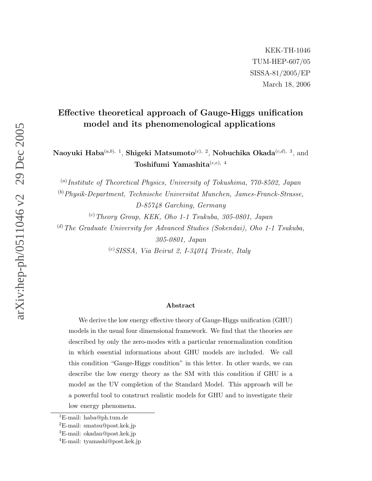# Effective theoretical approach of Gauge-Higgs unification model and its phenomenological applications

Naoyuki Haba $^{(a,b),-1},$  Shigeki Matsumoto $^{(c),-2},$  Nobuchika Okada $^{(c,d),-3},$  and  $\mathrm{Toshifumi\; Yamashita}^{(c,e),\;4}$ 

<sup>(a)</sup>Institute of Theoretical Physics, University of Tokushima, 770-8502, Japan

( b )Physik-Department, Technische Universitat Munchen, James-Franck-Strasse, D-85748 Garching, Germany

( c )Theory Group, KEK, Oho 1-1 Tsukuba, 305-0801, Japan

( d )The Graduate University for Advanced Studies (Sokendai), Oho 1-1 Tsukuba, 305-0801, Japan

( e )SISSA, Via Beirut 2, I-34014 Trieste, Italy

#### Abstract

We derive the low energy effective theory of Gauge-Higgs unification (GHU) models in the usual four dimensional framework. We find that the theories are described by only the zero-modes with a particular renormalization condition in which essential informations about GHU models are included. We call this condition "Gauge-Higgs condition" in this letter. In other wards, we can describe the low energy theory as the SM with this condition if GHU is a model as the UV completion of the Standard Model. This approach will be a powerful tool to construct realistic models for GHU and to investigate their low energy phenomena.

<sup>1</sup>E-mail: haba@ph.tum.de

<sup>2</sup>E-mail: smatsu@post.kek.jp

<sup>3</sup>E-mail: okadan@post.kek.jp

<sup>4</sup>E-mail: tyamashi@post.kek.jp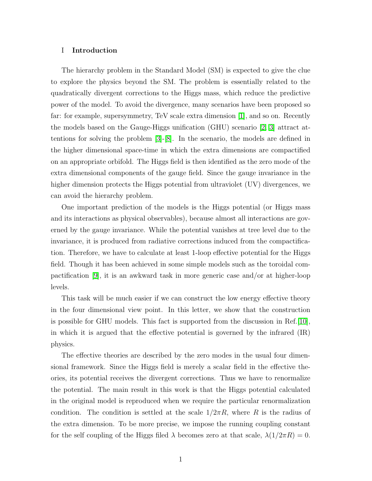# I Introduction

The hierarchy problem in the Standard Model (SM) is expected to give the clue to explore the physics beyond the SM. The problem is essentially related to the quadratically divergent corrections to the Higgs mass, which reduce the predictive power of the model. To avoid the divergence, many scenarios have been proposed so far: for example, supersymmetry, TeV scale extra dimension [\[1\]](#page-15-0), and so on. Recently the models based on the Gauge-Higgs unification (GHU) scenario [\[2,](#page-15-1) [3\]](#page-15-2) attract attentions for solving the problem  $|3|-|8|$ . In the scenario, the models are defined in the higher dimensional space-time in which the extra dimensions are compactified on an appropriate orbifold. The Higgs field is then identified as the zero mode of the extra dimensional components of the gauge field. Since the gauge invariance in the higher dimension protects the Higgs potential from ultraviolet (UV) divergences, we can avoid the hierarchy problem.

One important prediction of the models is the Higgs potential (or Higgs mass and its interactions as physical observables), because almost all interactions are governed by the gauge invariance. While the potential vanishes at tree level due to the invariance, it is produced from radiative corrections induced from the compactification. Therefore, we have to calculate at least 1-loop effective potential for the Higgs field. Though it has been achieved in some simple models such as the toroidal compactification [\[9\]](#page-16-1), it is an awkward task in more generic case and/or at higher-loop levels.

This task will be much easier if we can construct the low energy effective theory in the four dimensional view point. In this letter, we show that the construction is possible for GHU models. This fact is supported from the discussion in Ref.[\[10\]](#page-16-2), in which it is argued that the effective potential is governed by the infrared (IR) physics.

The effective theories are described by the zero modes in the usual four dimensional framework. Since the Higgs field is merely a scalar field in the effective theories, its potential receives the divergent corrections. Thus we have to renormalize the potential. The main result in this work is that the Higgs potential calculated in the original model is reproduced when we require the particular renormalization condition. The condition is settled at the scale  $1/2\pi R$ , where R is the radius of the extra dimension. To be more precise, we impose the running coupling constant for the self coupling of the Higgs filed  $\lambda$  becomes zero at that scale,  $\lambda(1/2\pi R) = 0$ .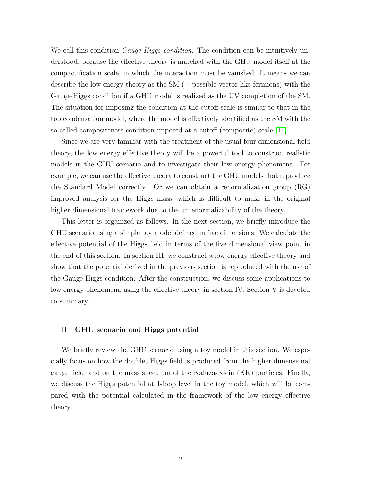We call this condition *Gauge-Higgs condition*. The condition can be intuitively understood, because the effective theory is matched with the GHU model itself at the compactification scale, in which the interaction must be vanished. It means we can describe the low energy theory as the SM (+ possible vector-like fermions) with the Gauge-Higgs condition if a GHU model is realized as the UV completion of the SM. The situation for imposing the condition at the cutoff scale is similar to that in the top condensation model, where the model is effectively identified as the SM with the so-called compositeness condition imposed at a cutoff (composite) scale [\[11\]](#page-16-3).

Since we are very familiar with the treatment of the usual four dimensional field theory, the low energy effective theory will be a powerful tool to construct realistic models in the GHU scenario and to investigate their low energy phenomena. For example, we can use the effective theory to construct the GHU models that reproduce the Standard Model correctly. Or we can obtain a renormalization group (RG) improved analysis for the Higgs mass, which is difficult to make in the original higher dimensional framework due to the unrenormalizability of the theory.

This letter is organized as follows. In the next section, we briefly introduce the GHU scenario using a simple toy model defined in five dimensions. We calculate the effective potential of the Higgs field in terms of the five dimensional view point in the end of this section. In section III, we construct a low energy effective theory and show that the potential derived in the previous section is reproduced with the use of the Gauge-Higgs condition. After the construction, we discuss some applications to low energy phenomena using the effective theory in section IV. Section V is devoted to summary.

### II GHU scenario and Higgs potential

We briefly review the GHU scenario using a toy model in this section. We especially focus on how the doublet Higgs field is produced from the higher dimensional gauge field, and on the mass spectrum of the Kaluza-Klein (KK) particles. Finally, we discuss the Higgs potential at 1-loop level in the toy model, which will be compared with the potential calculated in the framework of the low energy effective theory.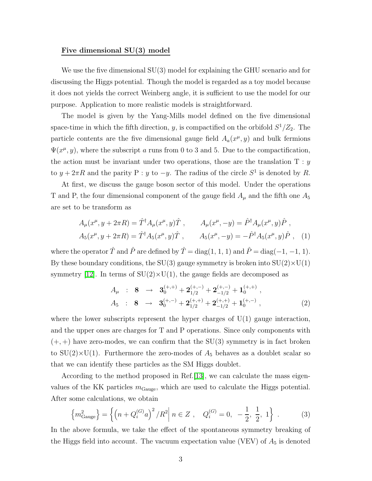### Five dimensional SU(3) model

We use the five dimensional SU(3) model for explaining the GHU scenario and for discussing the Higgs potential. Though the model is regarded as a toy model because it does not yields the correct Weinberg angle, it is sufficient to use the model for our purpose. Application to more realistic models is straightforward.

The model is given by the Yang-Mills model defined on the five dimensional space-time in which the fifth direction, y, is compactified on the orbifold  $S^1/Z_2$ . The particle contents are the five dimensional gauge field  $A_a(x^{\mu}, y)$  and bulk fermions  $\Psi(x^{\mu}, y)$ , where the subscript a runs from 0 to 3 and 5. Due to the compactification, the action must be invariant under two operations, those are the translation  $T : y$ to  $y + 2\pi R$  and the parity P : y to  $-y$ . The radius of the circle  $S^1$  is denoted by R.

At first, we discuss the gauge boson sector of this model. Under the operations T and P, the four dimensional component of the gauge field  $A_\mu$  and the fifth one  $A_5$ are set to be transform as

$$
A_{\mu}(x^{\mu}, y + 2\pi R) = \hat{T}^{\dagger} A_{\mu}(x^{\mu}, y) \hat{T} , \qquad A_{\mu}(x^{\mu}, -y) = \hat{P}^{\dagger} A_{\mu}(x^{\mu}, y) \hat{P} ,
$$
  

$$
A_{5}(x^{\mu}, y + 2\pi R) = \hat{T}^{\dagger} A_{5}(x^{\mu}, y) \hat{T} , \qquad A_{5}(x^{\mu}, -y) = -\hat{P}^{\dagger} A_{5}(x^{\mu}, y) \hat{P} , \quad (1)
$$

where the operator  $\hat{T}$  and  $\hat{P}$  are defined by  $\hat{T} = \text{diag}(1, 1, 1)$  and  $\hat{P} = \text{diag}(-1, -1, 1)$ . By these boundary conditions, the SU(3) gauge symmetry is broken into  $SU(2)\times U(1)$ symmetry [\[12\]](#page-16-4). In terms of  $SU(2)\times U(1)$ , the gauge fields are decomposed as

$$
A_{\mu} : 8 \rightarrow 3_0^{(+,+)} + 2_{1/2}^{(+,-)} + 2_{-1/2}^{(+,-)} + 1_0^{(+,+)} ,
$$
  
\n
$$
A_5 : 8 \rightarrow 3_0^{(+,-)} + 2_{1/2}^{(+,+)} + 2_{-1/2}^{(+,+)} + 1_0^{(+,-)} ,
$$
\n(2)

where the lower subscripts represent the hyper charges of  $U(1)$  gauge interaction, and the upper ones are charges for T and P operations. Since only components with  $(+, +)$  have zero-modes, we can confirm that the SU(3) symmetry is in fact broken to  $SU(2)\times U(1)$ . Furthermore the zero-modes of  $A_5$  behaves as a doublet scalar so that we can identify these particles as the SM Higgs doublet.

According to the method proposed in Ref.[\[13\]](#page-16-5), we can calculate the mass eigenvalues of the KK particles  $m_{\text{Gauge}}$ , which are used to calculate the Higgs potential. After some calculations, we obtain

$$
\left\{ m_{\text{Gauge}}^2 \right\} = \left\{ \left( n + Q_i^{(G)} a \right)^2 / R^2 \middle| \ n \in Z \ , \quad Q_i^{(G)} = 0, \ -\frac{1}{2}, \ \frac{1}{2}, \ 1 \right\} \ . \tag{3}
$$

In the above formula, we take the effect of the spontaneous symmetry breaking of the Higgs field into account. The vacuum expectation value (VEV) of  $A_5$  is denoted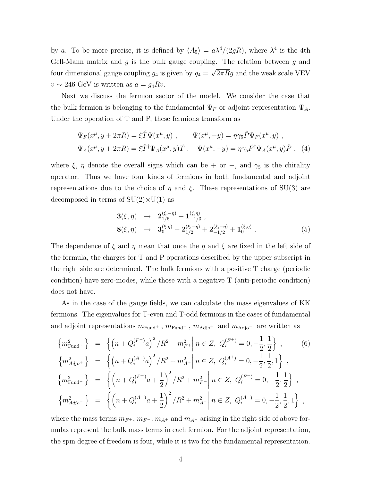by a. To be more precise, it is defined by  $\langle A_5 \rangle = a\lambda^4/(2gR)$ , where  $\lambda^4$  is the 4th Gell-Mann matrix and  $g$  is the bulk gauge coupling. The relation between  $g$  and four dimensional gauge coupling  $g_4$  is given by  $g_4 = \sqrt{2\pi R}g$  and the weak scale VEV  $v \sim 246$  GeV is written as  $a = g_4 R v$ .

Next we discuss the fermion sector of the model. We consider the case that the bulk fermion is belonging to the fundamental  $\Psi_F$  or adjoint representation  $\Psi_A$ . Under the operation of T and P, these fermions transform as

$$
\Psi_F(x^{\mu}, y + 2\pi R) = \xi \hat{T} \Psi(x^{\mu}, y) , \qquad \Psi(x^{\mu}, -y) = \eta \gamma_5 \hat{P} \Psi_F(x^{\mu}, y) ,
$$
  

$$
\Psi_A(x^{\mu}, y + 2\pi R) = \xi \hat{T}^{\dagger} \Psi_A(x^{\mu}, y) \hat{T} , \qquad \Psi(x^{\mu}, -y) = \eta \gamma_5 \hat{P}^{\dagger} \Psi_A(x^{\mu}, y) \hat{P} , \quad (4)
$$

where  $\xi$ ,  $\eta$  denote the overall signs which can be + or −, and  $\gamma_5$  is the chirality operator. Thus we have four kinds of fermions in both fundamental and adjoint representations due to the choice of  $\eta$  and  $\xi$ . These representations of SU(3) are decomposed in terms of  $SU(2)\times U(1)$  as

$$
\begin{array}{rcl}\n\mathbf{3}(\xi,\eta) & \rightarrow & \mathbf{2}_{1/6}^{(\xi,-\eta)} + \mathbf{1}_{-1/3}^{(\xi,\eta)} , \\
\mathbf{8}(\xi,\eta) & \rightarrow & \mathbf{3}_0^{(\xi,\eta)} + \mathbf{2}_{1/2}^{(\xi,-\eta)} + \mathbf{2}_{-1/2}^{(\xi,-\eta)} + \mathbf{1}_0^{(\xi,\eta)} .\n\end{array} \tag{5}
$$

The dependence of  $\xi$  and  $\eta$  mean that once the  $\eta$  and  $\xi$  are fixed in the left side of the formula, the charges for T and P operations described by the upper subscript in the right side are determined. The bulk fermions with a positive T charge (periodic condition) have zero-modes, while those with a negative T (anti-periodic condition) does not have.

As in the case of the gauge fields, we can calculate the mass eigenvalues of KK fermions. The eigenvalues for T-even and T-odd fermions in the cases of fundamental and adjoint representations  $m_{\text{Fund}}$ +,  $m_{\text{Fund}}$ -,  $m_{\text{Adj}}$ <sub>o</sub>+, and  $m_{\text{Adj}}$ <sub>o</sub>-, are written as

$$
\begin{aligned}\n\left\{ m_{\text{Fund}^+}^2 \right\} &= \left\{ \left( n + Q_i^{(F^+)} a \right)^2 / R^2 + m_{F^+}^2 \middle| n \in Z, \ Q_i^{(F^+)} = 0, -\frac{1}{2}, \frac{1}{2} \right\}, \\
\left\{ m_{Adjo^+}^2 \right\} &= \left\{ \left( n + Q_i^{(A^+)} a \right)^2 / R^2 + m_{A^+}^2 \middle| n \in Z, \ Q_i^{(A^+)} = 0, -\frac{1}{2}, \frac{1}{2}, 1 \right\}, \\
\left\{ m_{\text{Fund}^-}^2 \right\} &= \left\{ \left( n + Q_i^{(F^-)} a + \frac{1}{2} \right)^2 / R^2 + m_{F^-}^2 \middle| n \in Z, \ Q_i^{(F^-)} = 0, -\frac{1}{2}, \frac{1}{2} \right\}, \\
\left\{ m_{Adjo^-}^2 \right\} &= \left\{ \left( n + Q_i^{(A^-)} a + \frac{1}{2} \right)^2 / R^2 + m_{A^-}^2 \middle| n \in Z, \ Q_i^{(A^-)} = 0, -\frac{1}{2}, \frac{1}{2}, 1 \right\},\n\end{aligned}
$$

where the mass terms  $m_{F^+}$ ,  $m_{F^-}$ ,  $m_{A^+}$  and  $m_{A^-}$  arising in the right side of above formulas represent the bulk mass terms in each fermion. For the adjoint representation, the spin degree of freedom is four, while it is two for the fundamental representation.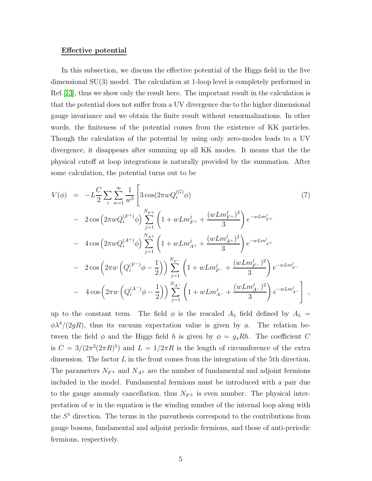#### Effective potential

In this subsection, we discuss the effective potential of the Higgs field in the five dimensional SU(3) model. The calculation at 1-loop level is completely performed in Ref.[\[13\]](#page-16-5), thus we show only the result here. The important result in the calculation is that the potential does not suffer from a UV divergence due to the higher dimensional gauge invariance and we obtain the finite result without renormalizations. In other words, the finiteness of the potential comes from the existence of KK particles. Though the calculation of the potential by using only zero-modes leads to a UV divergence, it disappears after summing up all KK modes. It means that the the physical cutoff at loop integrations is naturally provided by the summation. After some calculation, the potential turns out to be

<span id="page-5-0"></span>
$$
V(\phi) = -L\frac{C}{2} \sum_{i} \sum_{w=1}^{\infty} \frac{1}{w^5} \left[ 3 \cos(2\pi w Q_i^{(G)} \phi) \right]
$$
  
\n
$$
- 2 \cos\left(2\pi w Q_i^{(F^+)} \phi\right) \sum_{j=1}^{N_{F^+}} \left(1 + w L m_{F^+}^j + \frac{(w L m_{F^+}^j)^2}{3}\right) e^{-w L m_{F^+}^j}
$$
  
\n
$$
- 4 \cos\left(2\pi w Q_i^{(A^+)} \phi\right) \sum_{j=1}^{N_{A^+}} \left(1 + w L m_{A^+}^j + \frac{(w L m_{A^+}^j)^2}{3}\right) e^{-w L m_{A^+}^j}
$$
  
\n
$$
- 2 \cos\left(2\pi w \left(Q_i^{(F^-)} \phi - \frac{1}{2}\right)\right) \sum_{j=1}^{N_{F^-}} \left(1 + w L m_{F^-}^j + \frac{(w L m_{F^-}^j)^2}{3}\right) e^{-w L m_{F^-}^j}
$$
  
\n
$$
- 4 \cos\left(2\pi w \left(Q_i^{(A^-)} \phi - \frac{1}{2}\right)\right) \sum_{j=1}^{N_{A^-}} \left(1 + w L m_{A^-}^j + \frac{(w L m_{A^-}^j)^2}{3}\right) e^{-w L m_{A^-}^j} \right],
$$

up to the constant term. The field  $\phi$  is the rescaled  $A_5$  field defined by  $A_5$  =  $\phi \lambda^4/(2gR)$ , thus its vacuum expectation value is given by a. The relation between the field  $\phi$  and the Higgs field h is given by  $\phi = g_4 R h$ . The coefficient C is  $C = 3/(2\pi^2(2\pi R)^5)$  and  $L = 1/2\pi R$  is the length of circumference of the extra dimension. The factor  $L$  in the front comes from the integration of the 5th direction. The parameters  $N_{F^{\pm}}$  and  $N_{A^{\pm}}$  are the number of fundamental and adjoint fermions included in the model. Fundamental fermions must be introduced with a pair due to the gauge anomaly cancellation, thus  $N_{F^{\pm}}$  is even number. The physical interpretation of  $w$  in the equation is the winding number of the internal loop along with the  $S<sup>1</sup>$  direction. The terms in the parenthesis correspond to the contributions from gauge bosons, fundamental and adjoint periodic fermions, and those of anti-periodic fermions, respectively.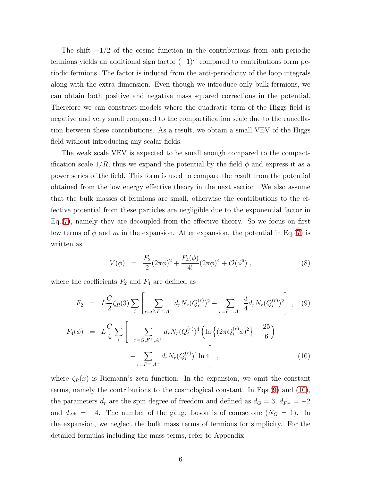The shift  $-1/2$  of the cosine function in the contributions from anti-periodic fermions yields an additional sign factor  $(-1)^w$  compared to contributions form periodic fermions. The factor is induced from the anti-periodicity of the loop integrals along with the extra dimension. Even though we introduce only bulk fermions, we can obtain both positive and negative mass squared corrections in the potential. Therefore we can construct models where the quadratic term of the Higgs field is negative and very small compared to the compactification scale due to the cancellation between these contributions. As a result, we obtain a small VEV of the Higgs field without introducing any scalar fields.

The weak scale VEV is expected to be small enough compared to the compactification scale  $1/R$ , thus we expand the potential by the field  $\phi$  and express it as a power series of the field. This form is used to compare the result from the potential obtained from the low energy effective theory in the next section. We also assume that the bulk masses of fermions are small, otherwise the contributions to the effective potential from these particles are negligible due to the exponential factor in Eq.[\(7\)](#page-5-0), namely they are decoupled from the effective theory. So we focus on first few terms of  $\phi$  and m in the expansion. After expansion, the potential in Eq.[\(7\)](#page-5-0) is written as

$$
V(\phi) = \frac{F_2}{2} (2\pi \phi)^2 + \frac{F_4(\phi)}{4!} (2\pi \phi)^4 + \mathcal{O}(\phi^6) , \qquad (8)
$$

<span id="page-6-0"></span>where the coefficients  $F_2$  and  $F_4$  are defined as

$$
F_2 = L\frac{C}{2}\zeta_R(3)\sum_i \left[\sum_{r=G,F^+,A^+} d_r N_r (Q_i^{(r)})^2 - \sum_{r=F^-,A^-} \frac{3}{4} d_r N_r (Q_i^{(r)})^2\right], \quad (9)
$$
  

$$
F_4(\phi) = L\frac{C}{4}\sum_i \left[\sum_{r=G,F^+,A^+} d_r N_r (Q_i^{(r)})^4 \left(\ln\left\{(2\pi Q_i^{(r)}\phi)^2\right\} - \frac{25}{6}\right) + \sum_{r=F^-,A^-} d_r N_r (Q_i^{(r)})^4 \ln 4\right], \quad (10)
$$

where  $\zeta_R(x)$  is Riemann's zeta function. In the expansion, we omit the constant terms, namely the contributions to the cosmological constant. In Eqs.[\(9\)](#page-6-0) and [\(10\)](#page-6-0), the parameters  $d_r$  are the spin degree of freedom and defined as  $d_G = 3$ ,  $d_{F^{\pm}} = -2$ and  $d_{A^{\pm}} = -4$ . The number of the gauge boson is of course one  $(N_G = 1)$ . In the expansion, we neglect the bulk mass terms of fermions for simplicity. For the detailed formulas including the mass terms, refer to Appendix.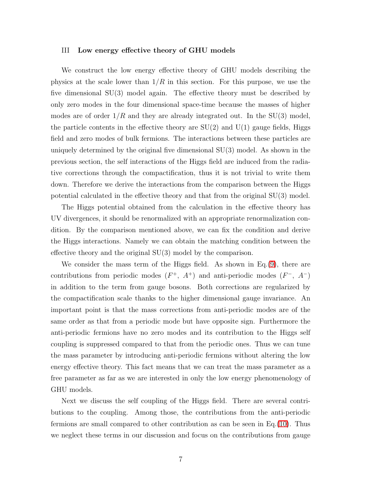#### III Low energy effective theory of GHU models

We construct the low energy effective theory of GHU models describing the physics at the scale lower than  $1/R$  in this section. For this purpose, we use the five dimensional SU(3) model again. The effective theory must be described by only zero modes in the four dimensional space-time because the masses of higher modes are of order  $1/R$  and they are already integrated out. In the SU(3) model, the particle contents in the effective theory are  $SU(2)$  and  $U(1)$  gauge fields, Higgs field and zero modes of bulk fermions. The interactions between these particles are uniquely determined by the original five dimensional SU(3) model. As shown in the previous section, the self interactions of the Higgs field are induced from the radiative corrections through the compactification, thus it is not trivial to write them down. Therefore we derive the interactions from the comparison between the Higgs potential calculated in the effective theory and that from the original SU(3) model.

The Higgs potential obtained from the calculation in the effective theory has UV divergences, it should be renormalized with an appropriate renormalization condition. By the comparison mentioned above, we can fix the condition and derive the Higgs interactions. Namely we can obtain the matching condition between the effective theory and the original SU(3) model by the comparison.

We consider the mass term of the Higgs field. As shown in  $Eq.(9)$  $Eq.(9)$ , there are contributions from periodic modes  $(F^+, A^+)$  and anti-periodic modes  $(F^-, A^-)$ in addition to the term from gauge bosons. Both corrections are regularized by the compactification scale thanks to the higher dimensional gauge invariance. An important point is that the mass corrections from anti-periodic modes are of the same order as that from a periodic mode but have opposite sign. Furthermore the anti-periodic fermions have no zero modes and its contribution to the Higgs self coupling is suppressed compared to that from the periodic ones. Thus we can tune the mass parameter by introducing anti-periodic fermions without altering the low energy effective theory. This fact means that we can treat the mass parameter as a free parameter as far as we are interested in only the low energy phenomenology of GHU models.

Next we discuss the self coupling of the Higgs field. There are several contributions to the coupling. Among those, the contributions from the anti-periodic fermions are small compared to other contribution as can be seen in Eq.[\(10\)](#page-6-0). Thus we neglect these terms in our discussion and focus on the contributions from gauge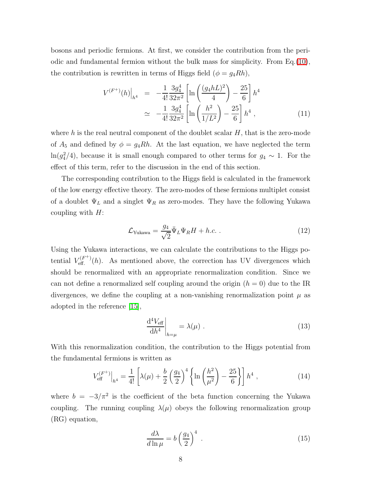<span id="page-8-0"></span>bosons and periodic fermions. At first, we consider the contribution from the periodic and fundamental fermion without the bulk mass for simplicity. From Eq.[\(10\)](#page-6-0), the contribution is rewritten in terms of Higgs field  $(\phi = g_4Rh)$ ,

$$
V^{(F^+)}(h)\Big|_{h^4} = -\frac{1}{4!} \frac{3g_4^4}{32\pi^2} \left[ \ln\left(\frac{(g_4 hL)^2}{4}\right) - \frac{25}{6} \right] h^4
$$
  

$$
\simeq -\frac{1}{4!} \frac{3g_4^4}{32\pi^2} \left[ \ln\left(\frac{h^2}{1/L^2}\right) - \frac{25}{6} \right] h^4 , \qquad (11)
$$

where h is the real neutral component of the doublet scalar  $H$ , that is the zero-mode of  $A_5$  and defined by  $\phi = g_4 R h$ . At the last equation, we have neglected the term  $ln(g_4^2/4)$ , because it is small enough compared to other terms for  $g_4 \sim 1$ . For the effect of this term, refer to the discussion in the end of this section.

The corresponding contribution to the Higgs field is calculated in the framework of the low energy effective theory. The zero-modes of these fermions multiplet consist of a doublet  $\Psi_L$  and a singlet  $\Psi_R$  as zero-modes. They have the following Yukawa coupling with  $H$ :

$$
\mathcal{L}_{\text{Yukawa}} = \frac{g_4}{\sqrt{2}} \bar{\Psi}_L \Psi_R H + h.c. \tag{12}
$$

Using the Yukawa interactions, we can calculate the contributions to the Higgs potential  $V_{\text{eff}}^{(F^+)}$  $E_{\text{eff}}^{(F+)}(h)$ . As mentioned above, the correction has UV divergences which should be renormalized with an appropriate renormalization condition. Since we can not define a renormalized self coupling around the origin  $(h = 0)$  due to the IR divergences, we define the coupling at a non-vanishing renormalization point  $\mu$  as adopted in the reference [\[15\]](#page-16-6),

$$
\left. \frac{\mathrm{d}^4 V_{\text{eff}}}{\mathrm{d} h^4} \right|_{h=\mu} = \lambda(\mu) \tag{13}
$$

With this renormalization condition, the contribution to the Higgs potential from the fundamental fermions is written as

$$
V_{\text{eff}}^{(F^+)}\Big|_{h^4} = \frac{1}{4!} \left[ \lambda(\mu) + \frac{b}{2} \left( \frac{g_4}{2} \right)^4 \left\{ \ln \left( \frac{h^2}{\mu^2} \right) - \frac{25}{6} \right\} \right] h^4 , \qquad (14)
$$

<span id="page-8-1"></span>where  $b = -3/\pi^2$  is the coefficient of the beta function concerning the Yukawa coupling. The running coupling  $\lambda(\mu)$  obeys the following renormalization group (RG) equation,

<span id="page-8-2"></span>
$$
\frac{d\lambda}{d\ln\mu} = b\left(\frac{g_4}{2}\right)^4 \tag{15}
$$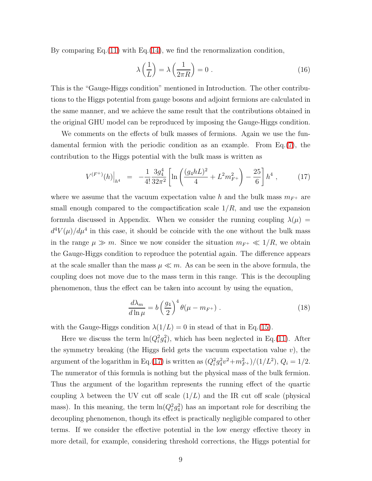By comparing Eq. $(11)$  with Eq. $(14)$ , we find the renormalization condition,

<span id="page-9-1"></span>
$$
\lambda\left(\frac{1}{L}\right) = \lambda\left(\frac{1}{2\pi R}\right) = 0\tag{16}
$$

This is the "Gauge-Higgs condition" mentioned in Introduction. The other contributions to the Higgs potential from gauge bosons and adjoint fermions are calculated in the same manner, and we achieve the same result that the contributions obtained in the original GHU model can be reproduced by imposing the Gauge-Higgs condition.

We comments on the effects of bulk masses of fermions. Again we use the fundamental fermion with the periodic condition as an example. From Eq.[\(7\)](#page-5-0), the contribution to the Higgs potential with the bulk mass is written as

$$
V^{(F^+)}(h)\Big|_{h^4} = -\frac{1}{4!} \frac{3g_4^4}{32\pi^2} \left[ \ln \left( \frac{(g_4 h L)^2}{4} + L^2 m_{F^+}^2 \right) - \frac{25}{6} \right] h^4 , \qquad (17)
$$

<span id="page-9-0"></span>where we assume that the vacuum expectation value h and the bulk mass  $m_{F^+}$  are small enough compared to the compactification scale  $1/R$ , and use the expansion formula discussed in Appendix. When we consider the running coupling  $\lambda(\mu)$  =  $d^4V(\mu)/d\mu^4$  in this case, it should be coincide with the one without the bulk mass in the range  $\mu \gg m$ . Since we now consider the situation  $m_{F^+} \ll 1/R$ , we obtain the Gauge-Higgs condition to reproduce the potential again. The difference appears at the scale smaller than the mass  $\mu \ll m$ . As can be seen in the above formula, the coupling does not move due to the mass term in this range. This is the decoupling phenomenon, thus the effect can be taken into account by using the equation,

$$
\frac{d\lambda_m}{d\ln\mu} = b\left(\frac{g_4}{2}\right)^4 \theta(\mu - m_{F^+})\ . \tag{18}
$$

with the Gauge-Higgs condition  $\lambda(1/L) = 0$  in stead of that in Eq.[\(15\)](#page-8-2).

Here we discuss the term  $\ln(Q_i^2 g_4^2)$ , which has been neglected in Eq.[\(11\)](#page-8-0). After the symmetry breaking (the Higgs field gets the vacuum expectation value  $v$ ), the argument of the logarithm in Eq.[\(17\)](#page-9-0) is written as  $(Q_i^2 g_4^2 v^2 + m_{F^+}^2)/(1/L^2)$ ,  $Q_i = 1/2$ . The numerator of this formula is nothing but the physical mass of the bulk fermion. Thus the argument of the logarithm represents the running effect of the quartic coupling  $\lambda$  between the UV cut off scale  $(1/L)$  and the IR cut off scale (physical mass). In this meaning, the term  $\ln(Q_i^2 g_4^2)$  has an important role for describing the decoupling phenomenon, though its effect is practically negligible compared to other terms. If we consider the effective potential in the low energy effective theory in more detail, for example, considering threshold corrections, the Higgs potential for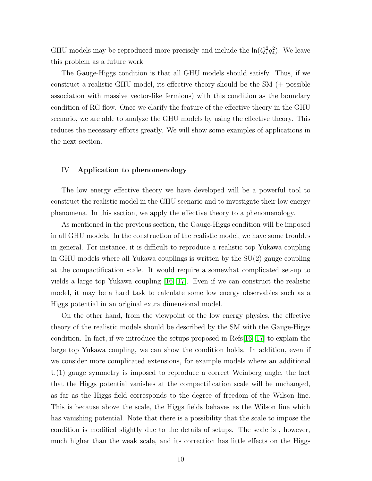GHU models may be reproduced more precisely and include the  $\ln(Q_i^2 g_4^2)$ . We leave this problem as a future work.

The Gauge-Higgs condition is that all GHU models should satisfy. Thus, if we construct a realistic GHU model, its effective theory should be the SM (+ possible association with massive vector-like fermions) with this condition as the boundary condition of RG flow. Once we clarify the feature of the effective theory in the GHU scenario, we are able to analyze the GHU models by using the effective theory. This reduces the necessary efforts greatly. We will show some examples of applications in the next section.

# IV Application to phenomenology

The low energy effective theory we have developed will be a powerful tool to construct the realistic model in the GHU scenario and to investigate their low energy phenomena. In this section, we apply the effective theory to a phenomenology.

As mentioned in the previous section, the Gauge-Higgs condition will be imposed in all GHU models. In the construction of the realistic model, we have some troubles in general. For instance, it is difficult to reproduce a realistic top Yukawa coupling in GHU models where all Yukawa couplings is written by the SU(2) gauge coupling at the compactification scale. It would require a somewhat complicated set-up to yields a large top Yukawa coupling [\[16,](#page-16-7) [17\]](#page-16-8). Even if we can construct the realistic model, it may be a hard task to calculate some low energy observables such as a Higgs potential in an original extra dimensional model.

On the other hand, from the viewpoint of the low energy physics, the effective theory of the realistic models should be described by the SM with the Gauge-Higgs condition. In fact, if we introduce the setups proposed in Refs[\[16,](#page-16-7) [17\]](#page-16-8) to explain the large top Yukawa coupling, we can show the condition holds. In addition, even if we consider more complicated extensions, for example models where an additional  $U(1)$  gauge symmetry is imposed to reproduce a correct Weinberg angle, the fact that the Higgs potential vanishes at the compactification scale will be unchanged, as far as the Higgs field corresponds to the degree of freedom of the Wilson line. This is because above the scale, the Higgs fields behaves as the Wilson line which has vanishing potential. Note that there is a possibility that the scale to impose the condition is modified slightly due to the details of setups. The scale is , however, much higher than the weak scale, and its correction has little effects on the Higgs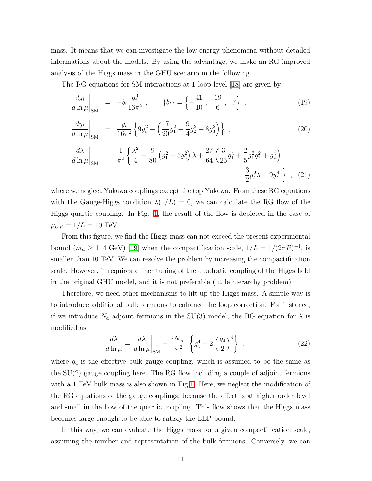mass. It means that we can investigate the low energy phenomena without detailed informations about the models. By using the advantage, we make an RG improved analysis of the Higgs mass in the GHU scenario in the following.

The RG equations for SM interactions at 1-loop level [\[18\]](#page-16-9) are given by

$$
\left. \frac{dg_i}{d\ln \mu} \right|_{\rm SM} = -b_i \frac{g_i^3}{16\pi^2} , \qquad \{b_i\} = \left\{ -\frac{41}{10} , \frac{19}{6} , 7 \right\} , \qquad (19)
$$

$$
\left. \frac{dy_t}{d\ln\mu} \right|_{\rm SM} = \frac{y_t}{16\pi^2} \left\{ 9y_t^2 - \left( \frac{17}{20}g_1^2 + \frac{9}{4}g_2^2 + 8g_3^2 \right) \right\} , \qquad (20)
$$

$$
\frac{d\lambda}{d\ln\mu}\Big|_{\text{SM}} = \frac{1}{\pi^2} \left\{ \frac{\lambda^2}{4} - \frac{9}{80} \left( g_1^2 + 5g_2^2 \right) \lambda + \frac{27}{64} \left( \frac{3}{25} g_1^4 + \frac{2}{5} g_1^2 g_2^2 + g_2^4 \right) + \frac{3}{2} g_t^2 \lambda - 9g_t^4 \right\} , \quad (21)
$$

where we neglect Yukawa couplings except the top Yukawa. From these RG equations with the Gauge-Higgs condition  $\lambda(1/L) = 0$ , we can calculate the RG flow of the Higgs quartic coupling. In Fig. [1,](#page-12-0) the result of the flow is depicted in the case of  $\mu_{UV} = 1/L = 10 \text{ TeV}.$ 

From this figure, we find the Higgs mass can not exceed the present experimental bound  $(m_h \ge 114 \text{ GeV})$  [\[19\]](#page-16-10) when the compactification scale,  $1/L = 1/(2\pi R)^{-1}$ , is smaller than 10 TeV. We can resolve the problem by increasing the compactification scale. However, it requires a finer tuning of the quadratic coupling of the Higgs field in the original GHU model, and it is not preferable (little hierarchy problem).

Therefore, we need other mechanisms to lift up the Higgs mass. A simple way is to introduce additional bulk fermions to enhance the loop correction. For instance, if we introduce  $N_a$  adjoint fermions in the SU(3) model, the RG equation for  $\lambda$  is modified as

$$
\frac{d\lambda}{d\ln\mu} = \frac{d\lambda}{d\ln\mu}\bigg|_{\rm SM} - \frac{3N_{A^+}}{\pi^2} \left\{ g_4^4 + 2\left(\frac{g_4}{2}\right)^4 \right\} \,,\tag{22}
$$

where  $g_4$  is the effective bulk gauge coupling, which is assumed to be the same as the SU(2) gauge coupling here. The RG flow including a couple of adjoint fermions with a 1 TeV bulk mass is also shown in Fig[.1.](#page-12-0) Here, we neglect the modification of the RG equations of the gauge couplings, because the effect is at higher order level and small in the flow of the quartic coupling. This flow shows that the Higgs mass becomes large enough to be able to satisfy the LEP bound.

In this way, we can evaluate the Higgs mass for a given compactification scale, assuming the number and representation of the bulk fermions. Conversely, we can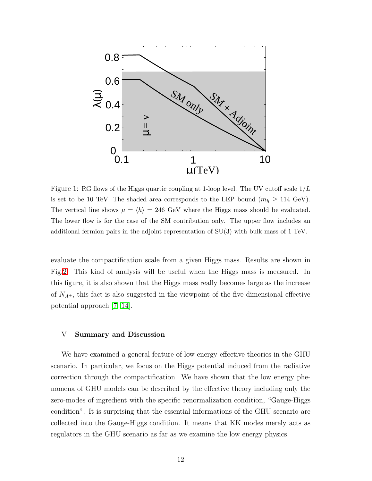

<span id="page-12-0"></span>Figure 1: RG flows of the Higgs quartic coupling at 1-loop level. The UV cutoff scale  $1/L$ is set to be 10 TeV. The shaded area corresponds to the LEP bound  $(m_h \ge 114 \text{ GeV})$ . The vertical line shows  $\mu = \langle h \rangle = 246$  GeV where the Higgs mass should be evaluated. The lower flow is for the case of the SM contribution only. The upper flow includes an additional fermion pairs in the adjoint representation of SU(3) with bulk mass of 1 TeV.

evaluate the compactification scale from a given Higgs mass. Results are shown in Fig[.2.](#page-13-0) This kind of analysis will be useful when the Higgs mass is measured. In this figure, it is also shown that the Higgs mass really becomes large as the increase of  $N_{A^+}$ , this fact is also suggested in the viewpoint of the five dimensional effective potential approach [\[7,](#page-16-11) [14\]](#page-16-12).

# V Summary and Discussion

We have examined a general feature of low energy effective theories in the GHU scenario. In particular, we focus on the Higgs potential induced from the radiative correction through the compactification. We have shown that the low energy phenomena of GHU models can be described by the effective theory including only the zero-modes of ingredient with the specific renormalization condition, "Gauge-Higgs condition". It is surprising that the essential informations of the GHU scenario are collected into the Gauge-Higgs condition. It means that KK modes merely acts as regulators in the GHU scenario as far as we examine the low energy physics.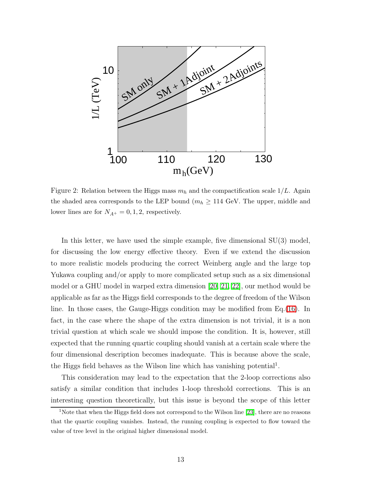

<span id="page-13-0"></span>Figure 2: Relation between the Higgs mass  $m_h$  and the compactification scale  $1/L$ . Again the shaded area corresponds to the LEP bound ( $m_h \geq 114$  GeV. The upper, middle and lower lines are for  $N_{A^+} = 0, 1, 2$ , respectively.

In this letter, we have used the simple example, five dimensional SU(3) model, for discussing the low energy effective theory. Even if we extend the discussion to more realistic models producing the correct Weinberg angle and the large top Yukawa coupling and/or apply to more complicated setup such as a six dimensional model or a GHU model in warped extra dimension [\[20,](#page-16-13) [21,](#page-17-0) [22\]](#page-17-1), our method would be applicable as far as the Higgs field corresponds to the degree of freedom of the Wilson line. In those cases, the Gauge-Higgs condition may be modified from Eq.[\(16\)](#page-9-1). In fact, in the case where the shape of the extra dimension is not trivial, it is a non trivial question at which scale we should impose the condition. It is, however, still expected that the running quartic coupling should vanish at a certain scale where the four dimensional description becomes inadequate. This is because above the scale, the Higgs field behaves as the Wilson line which has vanishing potential<sup>1</sup>.

This consideration may lead to the expectation that the 2-loop corrections also satisfy a similar condition that includes 1-loop threshold corrections. This is an interesting question theoretically, but this issue is beyond the scope of this letter

<sup>&</sup>lt;sup>1</sup>Note that when the Higgs field does not correspond to the Wilson line [\[23\]](#page-17-2), there are no reasons that the quartic coupling vanishes. Instead, the running coupling is expected to flow toward the value of tree level in the original higher dimensional model.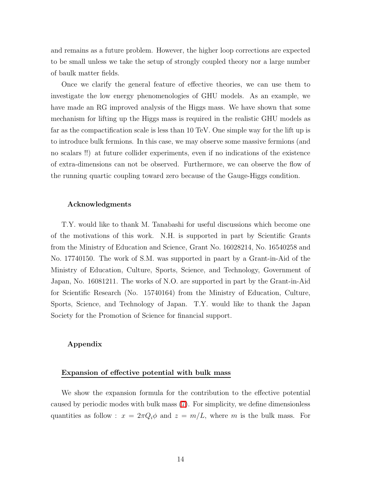and remains as a future problem. However, the higher loop corrections are expected to be small unless we take the setup of strongly coupled theory nor a large number of baulk matter fields.

Once we clarify the general feature of effective theories, we can use them to investigate the low energy phenomenologies of GHU models. As an example, we have made an RG improved analysis of the Higgs mass. We have shown that some mechanism for lifting up the Higgs mass is required in the realistic GHU models as far as the compactification scale is less than 10 TeV. One simple way for the lift up is to introduce bulk fermions. In this case, we may observe some massive fermions (and no scalars !!) at future collider experiments, even if no indications of the existence of extra-dimensions can not be observed. Furthermore, we can observe the flow of the running quartic coupling toward zero because of the Gauge-Higgs condition.

#### Acknowledgments

T.Y. would like to thank M. Tanabashi for useful discussions which become one of the motivations of this work. N.H. is supported in part by Scientific Grants from the Ministry of Education and Science, Grant No. 16028214, No. 16540258 and No. 17740150. The work of S.M. was supported in paart by a Grant-in-Aid of the Ministry of Education, Culture, Sports, Science, and Technology, Government of Japan, No. 16081211. The works of N.O. are supported in part by the Grant-in-Aid for Scientific Research (No. 15740164) from the Ministry of Education, Culture, Sports, Science, and Technology of Japan. T.Y. would like to thank the Japan Society for the Promotion of Science for financial support.

# Appendix

#### Expansion of effective potential with bulk mass

We show the expansion formula for the contribution to the effective potential caused by periodic modes with bulk mass [\(7\)](#page-5-0). For simplicity, we define dimensionless quantities as follow :  $x = 2\pi Q_i \phi$  and  $z = m/L$ , where m is the bulk mass. For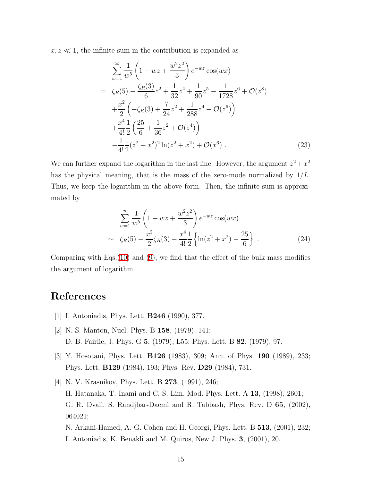$x, z \ll 1$ , the infinite sum in the contribution is expanded as

$$
\sum_{w=1}^{\infty} \frac{1}{w^5} \left( 1 + wz + \frac{w^2 z^2}{3} \right) e^{-wz} \cos(wx)
$$
  
\n
$$
= \zeta_R(5) - \frac{\zeta_R(3)}{6} z^2 + \frac{1}{32} z^4 + \frac{1}{90} z^5 - \frac{1}{1728} z^6 + \mathcal{O}(z^8)
$$
  
\n
$$
+ \frac{x^2}{2} \left( -\zeta_R(3) + \frac{7}{24} z^2 + \frac{1}{288} z^4 + \mathcal{O}(z^6) \right)
$$
  
\n
$$
+ \frac{x^4}{4!} \frac{1}{2} \left( \frac{25}{6} + \frac{1}{36} z^2 + \mathcal{O}(z^4) \right)
$$
  
\n
$$
- \frac{1}{4!} \frac{1}{2} (z^2 + x^2)^2 \ln(z^2 + x^2) + \mathcal{O}(x^6) .
$$
 (23)

We can further expand the logarithm in the last line. However, the argument  $z^2 + x^2$ has the physical meaning, that is the mass of the zero-mode normalized by  $1/L$ . Thus, we keep the logarithm in the above form. Then, the infinite sum is approximated by

$$
\sum_{w=1}^{\infty} \frac{1}{w^5} \left( 1 + wz + \frac{w^2 z^2}{3} \right) e^{-wz} \cos(wx)
$$
  
 
$$
\sim \zeta_R(5) - \frac{x^2}{2} \zeta_R(3) - \frac{x^4}{4!} \frac{1}{2} \left\{ \ln(z^2 + z^2) - \frac{25}{6} \right\} .
$$
 (24)

Comparing with Eqs.[\(10\)](#page-6-0) and [\(9\)](#page-6-0), we find that the effect of the bulk mass modifies the argument of logarithm.

# <span id="page-15-0"></span>References

- <span id="page-15-1"></span>[1] I. Antoniadis, Phys. Lett. B246 (1990), 377.
- <span id="page-15-2"></span>[2] N. S. Manton, Nucl. Phys. B 158, (1979), 141; D. B. Fairlie, J. Phys. G 5, (1979), L55; Phys. Lett. B 82, (1979), 97.
- [3] Y. Hosotani, Phys. Lett. B126 (1983), 309; Ann. of Phys. 190 (1989), 233; Phys. Lett. B129 (1984), 193; Phys. Rev. D29 (1984), 731.
- [4] N. V. Krasnikov, Phys. Lett. B 273, (1991), 246; H. Hatanaka, T. Inami and C. S. Lim, Mod. Phys. Lett. A 13, (1998), 2601; G. R. Dvali, S. Randjbar-Daemi and R. Tabbash, Phys. Rev. D 65, (2002), 064021; N. Arkani-Hamed, A. G. Cohen and H. Georgi, Phys. Lett. B 513, (2001), 232; I. Antoniadis, K. Benakli and M. Quiros, New J. Phys. 3, (2001), 20.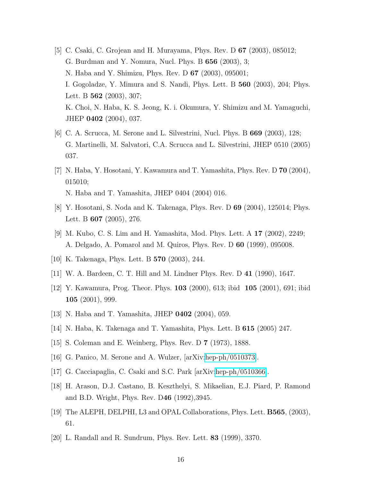- [5] C. Csaki, C. Grojean and H. Murayama, Phys. Rev. D 67 (2003), 085012; G. Burdman and Y. Nomura, Nucl. Phys. B 656 (2003), 3; N. Haba and Y. Shimizu, Phys. Rev. D 67 (2003), 095001; I. Gogoladze, Y. Mimura and S. Nandi, Phys. Lett. B 560 (2003), 204; Phys. Lett. B **562** (2003), 307; K. Choi, N. Haba, K. S. Jeong, K. i. Okumura, Y. Shimizu and M. Yamaguchi, JHEP 0402 (2004), 037.
- [6] C. A. Scrucca, M. Serone and L. Silvestrini, Nucl. Phys. B 669 (2003), 128; G. Martinelli, M. Salvatori, C.A. Scrucca and L. Silvestrini, JHEP 0510 (2005) 037.
- <span id="page-16-11"></span>[7] N. Haba, Y. Hosotani, Y. Kawamura and T. Yamashita, Phys. Rev. D 70 (2004), 015010; N. Haba and T. Yamashita, JHEP 0404 (2004) 016.
- <span id="page-16-1"></span><span id="page-16-0"></span>[8] Y. Hosotani, S. Noda and K. Takenaga, Phys. Rev. D 69 (2004), 125014; Phys. Lett. B 607 (2005), 276.
- [9] M. Kubo, C. S. Lim and H. Yamashita, Mod. Phys. Lett. A 17 (2002), 2249; A. Delgado, A. Pomarol and M. Quiros, Phys. Rev. D 60 (1999), 095008.
- <span id="page-16-3"></span><span id="page-16-2"></span>[10] K. Takenaga, Phys. Lett. B 570 (2003), 244.
- <span id="page-16-4"></span>[11] W. A. Bardeen, C. T. Hill and M. Lindner Phys. Rev. D 41 (1990), 1647.
- <span id="page-16-5"></span>[12] Y. Kawamura, Prog. Theor. Phys. 103 (2000), 613; ibid 105 (2001), 691; ibid 105 (2001), 999.
- <span id="page-16-12"></span>[13] N. Haba and T. Yamashita, JHEP 0402 (2004), 059.
- <span id="page-16-6"></span>[14] N. Haba, K. Takenaga and T. Yamashita, Phys. Lett. B 615 (2005) 247.
- <span id="page-16-7"></span>[15] S. Coleman and E. Weinberg, Phys. Rev. D 7 (1973), 1888.
- <span id="page-16-8"></span>[16] G. Panico, M. Serone and A. Wulzer, [arXiv[:hep-ph/0510373\]](http://it.arXiv.org/abs/hep-ph/0510373).
- <span id="page-16-9"></span>[17] G. Cacciapaglia, C. Csaki and S.C. Park [arXiv[:hep-ph/0510366\]](http://it.arXiv.org/abs/hep-ph/0510366).
- <span id="page-16-10"></span>[18] H. Arason, D.J. Castano, B. Keszthelyi, S. Mikaelian, E.J. Piard, P. Ramond and B.D. Wright, Phys. Rev. D46 (1992),3945.
- <span id="page-16-13"></span>[19] The ALEPH, DELPHI, L3 and OPAL Collaborations, Phys. Lett. B565, (2003), 61.
- [20] L. Randall and R. Sundrum, Phys. Rev. Lett. 83 (1999), 3370.